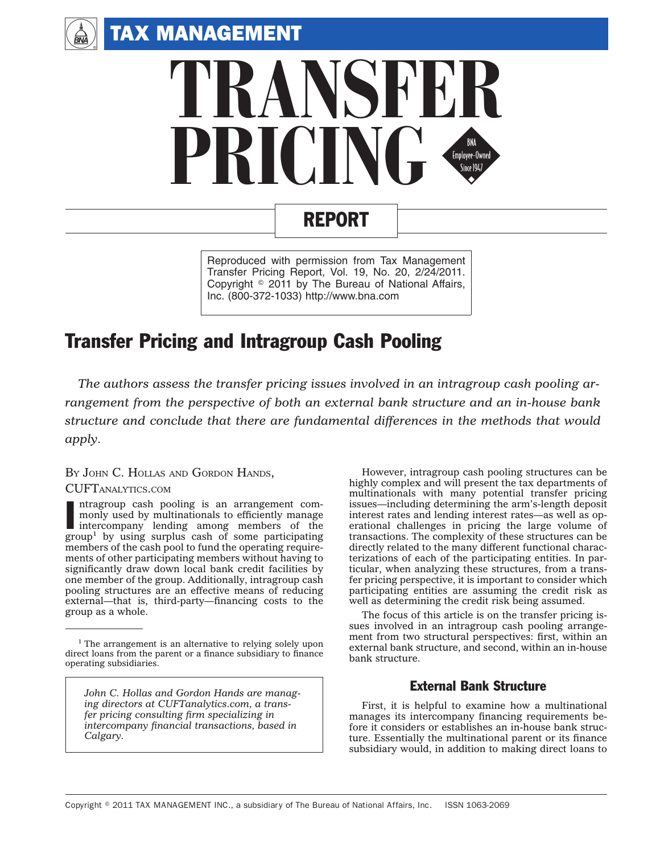TAX MANAGEMENT

 $\binom{A}{BVA}$ 



# REPORT

Reproduced with permission from Tax Management Transfer Pricing Report, Vol. 19, No. 20, 2/24/2011. Copyright © 2011 by The Bureau of National Affairs, Inc. (800-372-1033) http://www.bna.com

# Transfer Pricing and Intragroup Cash Pooling

*The authors assess the transfer pricing issues involved in an intragroup cash pooling arrangement from the perspective of both an external bank structure and an in-house bank structure and conclude that there are fundamental differences in the methods that would apply.*

#### BY JOHN C. HOLLAS AND GORDON HANDS,

#### CUFTANALYTICS.COM

Intragroup cash pooling is an arrangement commonly used by multinationals to efficiently manage intercompany lending among members of the group<sup>1</sup> by using surplus cash of some participating ntragroup cash pooling is an arrangement commonly used by multinationals to efficiently manage intercompany lending among members of the members of the cash pool to fund the operating requirements of other participating members without having to significantly draw down local bank credit facilities by one member of the group. Additionally, intragroup cash pooling structures are an effective means of reducing external—that is, third-party—financing costs to the group as a whole.

*John C. Hollas and Gordon Hands are managing directors at CUFTanalytics.com, a transfer pricing consulting firm specializing in intercompany financial transactions, based in Calgary.*

However, intragroup cash pooling structures can be highly complex and will present the tax departments of multinationals with many potential transfer pricing issues—including determining the arm's-length deposit interest rates and lending interest rates—as well as operational challenges in pricing the large volume of transactions. The complexity of these structures can be directly related to the many different functional characterizations of each of the participating entities. In particular, when analyzing these structures, from a transfer pricing perspective, it is important to consider which participating entities are assuming the credit risk as well as determining the credit risk being assumed.

The focus of this article is on the transfer pricing issues involved in an intragroup cash pooling arrangement from two structural perspectives: first, within an external bank structure, and second, within an in-house bank structure.

### External Bank Structure

First, it is helpful to examine how a multinational manages its intercompany financing requirements before it considers or establishes an in-house bank structure. Essentially the multinational parent or its finance subsidiary would, in addition to making direct loans to

<sup>&</sup>lt;sup>1</sup> The arrangement is an alternative to relying solely upon direct loans from the parent or a finance subsidiary to finance operating subsidiaries.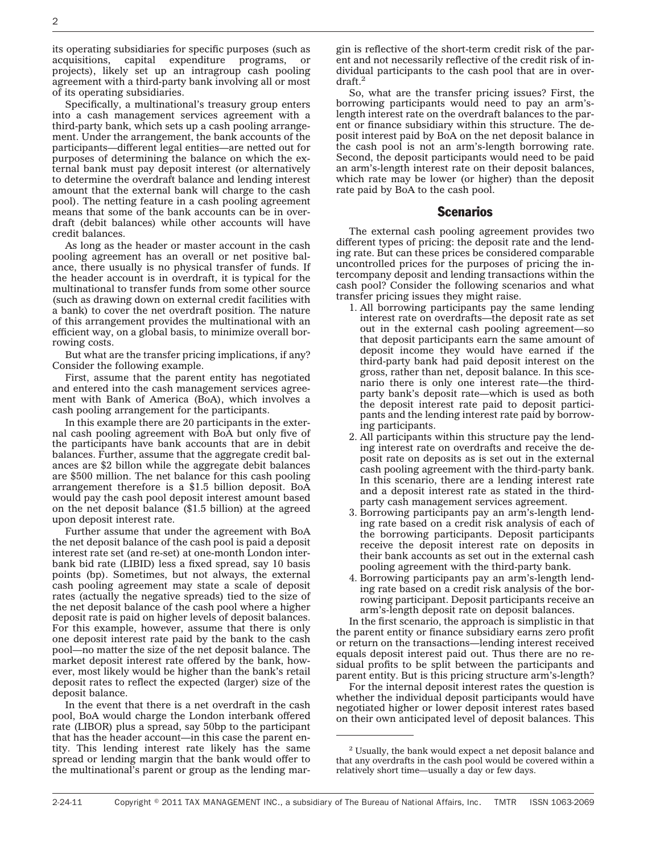its operating subsidiaries for specific purposes (such as acquisitions, capital expenditure programs, projects), likely set up an intragroup cash pooling agreement with a third-party bank involving all or most of its operating subsidiaries.

Specifically, a multinational's treasury group enters into a cash management services agreement with a third-party bank, which sets up a cash pooling arrangement. Under the arrangement, the bank accounts of the participants—different legal entities—are netted out for purposes of determining the balance on which the external bank must pay deposit interest (or alternatively to determine the overdraft balance and lending interest amount that the external bank will charge to the cash pool). The netting feature in a cash pooling agreement means that some of the bank accounts can be in overdraft (debit balances) while other accounts will have credit balances.

As long as the header or master account in the cash pooling agreement has an overall or net positive balance, there usually is no physical transfer of funds. If the header account is in overdraft, it is typical for the multinational to transfer funds from some other source (such as drawing down on external credit facilities with a bank) to cover the net overdraft position. The nature of this arrangement provides the multinational with an efficient way, on a global basis, to minimize overall borrowing costs.

But what are the transfer pricing implications, if any? Consider the following example.

First, assume that the parent entity has negotiated and entered into the cash management services agreement with Bank of America (BoA), which involves a cash pooling arrangement for the participants.

In this example there are 20 participants in the external cash pooling agreement with BoA but only five of the participants have bank accounts that are in debit balances. Further, assume that the aggregate credit balances are \$2 billon while the aggregate debit balances are \$500 million. The net balance for this cash pooling arrangement therefore is a \$1.5 billion deposit. BoA would pay the cash pool deposit interest amount based on the net deposit balance (\$1.5 billion) at the agreed upon deposit interest rate.

Further assume that under the agreement with BoA the net deposit balance of the cash pool is paid a deposit interest rate set (and re-set) at one-month London interbank bid rate (LIBID) less a fixed spread, say 10 basis points (bp). Sometimes, but not always, the external cash pooling agreement may state a scale of deposit rates (actually the negative spreads) tied to the size of the net deposit balance of the cash pool where a higher deposit rate is paid on higher levels of deposit balances. For this example, however, assume that there is only one deposit interest rate paid by the bank to the cash pool—no matter the size of the net deposit balance. The market deposit interest rate offered by the bank, however, most likely would be higher than the bank's retail deposit rates to reflect the expected (larger) size of the deposit balance.

In the event that there is a net overdraft in the cash pool, BoA would charge the London interbank offered rate (LIBOR) plus a spread, say 50bp to the participant that has the header account—in this case the parent entity. This lending interest rate likely has the same spread or lending margin that the bank would offer to the multinational's parent or group as the lending margin is reflective of the short-term credit risk of the parent and not necessarily reflective of the credit risk of individual participants to the cash pool that are in overdraft.2

So, what are the transfer pricing issues? First, the borrowing participants would need to pay an arm'slength interest rate on the overdraft balances to the parent or finance subsidiary within this structure. The deposit interest paid by BoA on the net deposit balance in the cash pool is not an arm's-length borrowing rate. Second, the deposit participants would need to be paid an arm's-length interest rate on their deposit balances, which rate may be lower (or higher) than the deposit rate paid by BoA to the cash pool.

#### **Scenarios**

The external cash pooling agreement provides two different types of pricing: the deposit rate and the lending rate. But can these prices be considered comparable uncontrolled prices for the purposes of pricing the intercompany deposit and lending transactions within the cash pool? Consider the following scenarios and what transfer pricing issues they might raise.

- 1. All borrowing participants pay the same lending interest rate on overdrafts—the deposit rate as set out in the external cash pooling agreement—so that deposit participants earn the same amount of deposit income they would have earned if the third-party bank had paid deposit interest on the gross, rather than net, deposit balance. In this scenario there is only one interest rate—the thirdparty bank's deposit rate—which is used as both the deposit interest rate paid to deposit participants and the lending interest rate paid by borrowing participants.
- 2. All participants within this structure pay the lending interest rate on overdrafts and receive the deposit rate on deposits as is set out in the external cash pooling agreement with the third-party bank. In this scenario, there are a lending interest rate and a deposit interest rate as stated in the thirdparty cash management services agreement.
- 3. Borrowing participants pay an arm's-length lending rate based on a credit risk analysis of each of the borrowing participants. Deposit participants receive the deposit interest rate on deposits in their bank accounts as set out in the external cash pooling agreement with the third-party bank.
- 4. Borrowing participants pay an arm's-length lending rate based on a credit risk analysis of the borrowing participant. Deposit participants receive an arm's-length deposit rate on deposit balances.

In the first scenario, the approach is simplistic in that the parent entity or finance subsidiary earns zero profit or return on the transactions—lending interest received equals deposit interest paid out. Thus there are no residual profits to be split between the participants and parent entity. But is this pricing structure arm's-length?

For the internal deposit interest rates the question is whether the individual deposit participants would have negotiated higher or lower deposit interest rates based on their own anticipated level of deposit balances. This

<sup>2</sup> Usually, the bank would expect a net deposit balance and that any overdrafts in the cash pool would be covered within a relatively short time—usually a day or few days.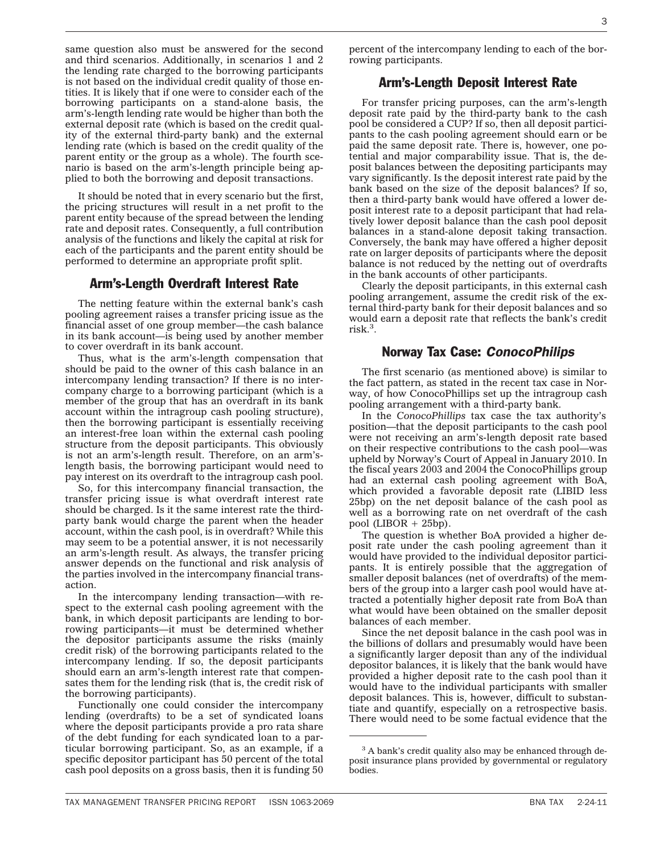same question also must be answered for the second and third scenarios. Additionally, in scenarios 1 and 2 the lending rate charged to the borrowing participants is not based on the individual credit quality of those entities. It is likely that if one were to consider each of the borrowing participants on a stand-alone basis, the arm's-length lending rate would be higher than both the external deposit rate (which is based on the credit quality of the external third-party bank) and the external lending rate (which is based on the credit quality of the parent entity or the group as a whole). The fourth scenario is based on the arm's-length principle being applied to both the borrowing and deposit transactions.

It should be noted that in every scenario but the first, the pricing structures will result in a net profit to the parent entity because of the spread between the lending rate and deposit rates. Consequently, a full contribution analysis of the functions and likely the capital at risk for each of the participants and the parent entity should be performed to determine an appropriate profit split.

## Arm's-Length Overdraft Interest Rate

The netting feature within the external bank's cash pooling agreement raises a transfer pricing issue as the financial asset of one group member—the cash balance in its bank account—is being used by another member to cover overdraft in its bank account.

Thus, what is the arm's-length compensation that should be paid to the owner of this cash balance in an intercompany lending transaction? If there is no intercompany charge to a borrowing participant (which is a member of the group that has an overdraft in its bank account within the intragroup cash pooling structure), then the borrowing participant is essentially receiving an interest-free loan within the external cash pooling structure from the deposit participants. This obviously is not an arm's-length result. Therefore, on an arm'slength basis, the borrowing participant would need to pay interest on its overdraft to the intragroup cash pool.

So, for this intercompany financial transaction, the transfer pricing issue is what overdraft interest rate should be charged. Is it the same interest rate the thirdparty bank would charge the parent when the header account, within the cash pool, is in overdraft? While this may seem to be a potential answer, it is not necessarily an arm's-length result. As always, the transfer pricing answer depends on the functional and risk analysis of the parties involved in the intercompany financial transaction.

In the intercompany lending transaction—with respect to the external cash pooling agreement with the bank, in which deposit participants are lending to borrowing participants—it must be determined whether the depositor participants assume the risks (mainly credit risk) of the borrowing participants related to the intercompany lending. If so, the deposit participants should earn an arm's-length interest rate that compensates them for the lending risk (that is, the credit risk of the borrowing participants).

Functionally one could consider the intercompany lending (overdrafts) to be a set of syndicated loans where the deposit participants provide a pro rata share of the debt funding for each syndicated loan to a particular borrowing participant. So, as an example, if a specific depositor participant has 50 percent of the total cash pool deposits on a gross basis, then it is funding 50 percent of the intercompany lending to each of the borrowing participants.

## Arm's-Length Deposit Interest Rate

For transfer pricing purposes, can the arm's-length deposit rate paid by the third-party bank to the cash pool be considered a CUP? If so, then all deposit participants to the cash pooling agreement should earn or be paid the same deposit rate. There is, however, one potential and major comparability issue. That is, the deposit balances between the depositing participants may vary significantly. Is the deposit interest rate paid by the bank based on the size of the deposit balances? If so, then a third-party bank would have offered a lower deposit interest rate to a deposit participant that had relatively lower deposit balance than the cash pool deposit balances in a stand-alone deposit taking transaction. Conversely, the bank may have offered a higher deposit rate on larger deposits of participants where the deposit balance is not reduced by the netting out of overdrafts in the bank accounts of other participants.

Clearly the deposit participants, in this external cash pooling arrangement, assume the credit risk of the external third-party bank for their deposit balances and so would earn a deposit rate that reflects the bank's credit risk.3 .

## Norway Tax Case: *ConocoPhilips*

The first scenario (as mentioned above) is similar to the fact pattern, as stated in the recent tax case in Norway, of how ConocoPhillips set up the intragroup cash pooling arrangement with a third-party bank.

In the *ConocoPhillips* tax case the tax authority's position—that the deposit participants to the cash pool were not receiving an arm's-length deposit rate based on their respective contributions to the cash pool—was upheld by Norway's Court of Appeal in January 2010. In the fiscal years 2003 and 2004 the ConocoPhillips group had an external cash pooling agreement with BoA, which provided a favorable deposit rate (LIBID less 25bp) on the net deposit balance of the cash pool as well as a borrowing rate on net overdraft of the cash pool (LIBOR + 25bp).

The question is whether BoA provided a higher deposit rate under the cash pooling agreement than it would have provided to the individual depositor participants. It is entirely possible that the aggregation of smaller deposit balances (net of overdrafts) of the members of the group into a larger cash pool would have attracted a potentially higher deposit rate from BoA than what would have been obtained on the smaller deposit balances of each member.

Since the net deposit balance in the cash pool was in the billions of dollars and presumably would have been a significantly larger deposit than any of the individual depositor balances, it is likely that the bank would have provided a higher deposit rate to the cash pool than it would have to the individual participants with smaller deposit balances. This is, however, difficult to substantiate and quantify, especially on a retrospective basis. There would need to be some factual evidence that the

<sup>&</sup>lt;sup>3</sup> A bank's credit quality also may be enhanced through deposit insurance plans provided by governmental or regulatory bodies.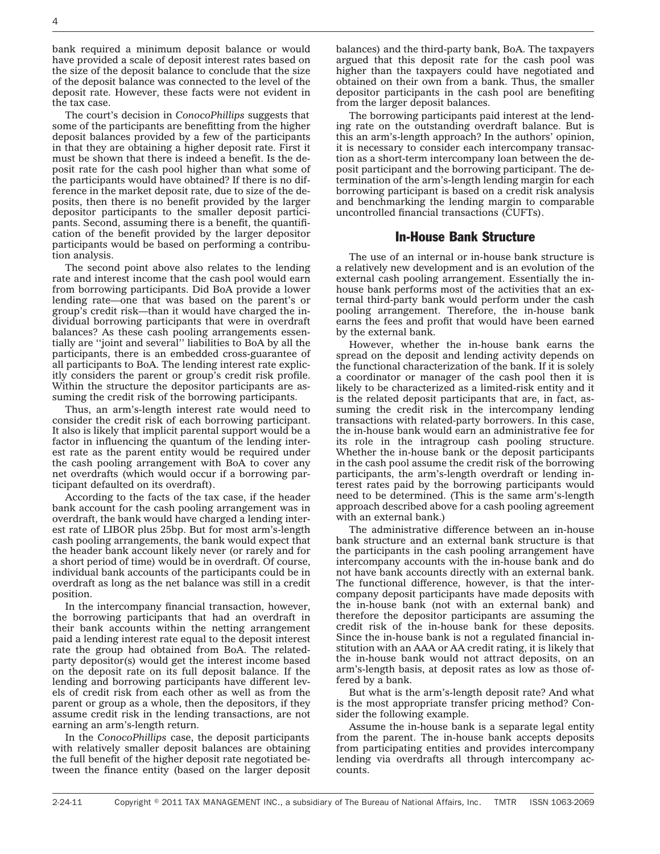bank required a minimum deposit balance or would have provided a scale of deposit interest rates based on the size of the deposit balance to conclude that the size of the deposit balance was connected to the level of the deposit rate. However, these facts were not evident in the tax case.

The court's decision in *ConocoPhillips* suggests that some of the participants are benefitting from the higher deposit balances provided by a few of the participants in that they are obtaining a higher deposit rate. First it must be shown that there is indeed a benefit. Is the deposit rate for the cash pool higher than what some of the participants would have obtained? If there is no difference in the market deposit rate, due to size of the deposits, then there is no benefit provided by the larger depositor participants to the smaller deposit participants. Second, assuming there is a benefit, the quantification of the benefit provided by the larger depositor participants would be based on performing a contribution analysis.

The second point above also relates to the lending rate and interest income that the cash pool would earn from borrowing participants. Did BoA provide a lower lending rate—one that was based on the parent's or group's credit risk—than it would have charged the individual borrowing participants that were in overdraft balances? As these cash pooling arrangements essentially are ''joint and several'' liabilities to BoA by all the participants, there is an embedded cross-guarantee of all participants to BoA. The lending interest rate explicitly considers the parent or group's credit risk profile. Within the structure the depositor participants are assuming the credit risk of the borrowing participants.

Thus, an arm's-length interest rate would need to consider the credit risk of each borrowing participant. It also is likely that implicit parental support would be a factor in influencing the quantum of the lending interest rate as the parent entity would be required under the cash pooling arrangement with BoA to cover any net overdrafts (which would occur if a borrowing participant defaulted on its overdraft).

According to the facts of the tax case, if the header bank account for the cash pooling arrangement was in overdraft, the bank would have charged a lending interest rate of LIBOR plus 25bp. But for most arm's-length cash pooling arrangements, the bank would expect that the header bank account likely never (or rarely and for a short period of time) would be in overdraft. Of course, individual bank accounts of the participants could be in overdraft as long as the net balance was still in a credit position.

In the intercompany financial transaction, however, the borrowing participants that had an overdraft in their bank accounts within the netting arrangement paid a lending interest rate equal to the deposit interest rate the group had obtained from BoA. The relatedparty depositor(s) would get the interest income based on the deposit rate on its full deposit balance. If the lending and borrowing participants have different levels of credit risk from each other as well as from the parent or group as a whole, then the depositors, if they assume credit risk in the lending transactions, are not earning an arm's-length return.

In the *ConocoPhillips* case, the deposit participants with relatively smaller deposit balances are obtaining the full benefit of the higher deposit rate negotiated between the finance entity (based on the larger deposit balances) and the third-party bank, BoA. The taxpayers argued that this deposit rate for the cash pool was higher than the taxpayers could have negotiated and obtained on their own from a bank. Thus, the smaller depositor participants in the cash pool are benefiting from the larger deposit balances.

The borrowing participants paid interest at the lending rate on the outstanding overdraft balance. But is this an arm's-length approach? In the authors' opinion, it is necessary to consider each intercompany transaction as a short-term intercompany loan between the deposit participant and the borrowing participant. The determination of the arm's-length lending margin for each borrowing participant is based on a credit risk analysis and benchmarking the lending margin to comparable uncontrolled financial transactions (CUFTs).

#### In-House Bank Structure

The use of an internal or in-house bank structure is a relatively new development and is an evolution of the external cash pooling arrangement. Essentially the inhouse bank performs most of the activities that an external third-party bank would perform under the cash pooling arrangement. Therefore, the in-house bank earns the fees and profit that would have been earned by the external bank.

However, whether the in-house bank earns the spread on the deposit and lending activity depends on the functional characterization of the bank. If it is solely a coordinator or manager of the cash pool then it is likely to be characterized as a limited-risk entity and it is the related deposit participants that are, in fact, assuming the credit risk in the intercompany lending transactions with related-party borrowers. In this case, the in-house bank would earn an administrative fee for its role in the intragroup cash pooling structure. Whether the in-house bank or the deposit participants in the cash pool assume the credit risk of the borrowing participants, the arm's-length overdraft or lending interest rates paid by the borrowing participants would need to be determined. (This is the same arm's-length approach described above for a cash pooling agreement with an external bank.)

The administrative difference between an in-house bank structure and an external bank structure is that the participants in the cash pooling arrangement have intercompany accounts with the in-house bank and do not have bank accounts directly with an external bank. The functional difference, however, is that the intercompany deposit participants have made deposits with the in-house bank (not with an external bank) and therefore the depositor participants are assuming the credit risk of the in-house bank for these deposits. Since the in-house bank is not a regulated financial institution with an AAA or AA credit rating, it is likely that the in-house bank would not attract deposits, on an arm's-length basis, at deposit rates as low as those offered by a bank.

But what is the arm's-length deposit rate? And what is the most appropriate transfer pricing method? Consider the following example.

Assume the in-house bank is a separate legal entity from the parent. The in-house bank accepts deposits from participating entities and provides intercompany lending via overdrafts all through intercompany accounts.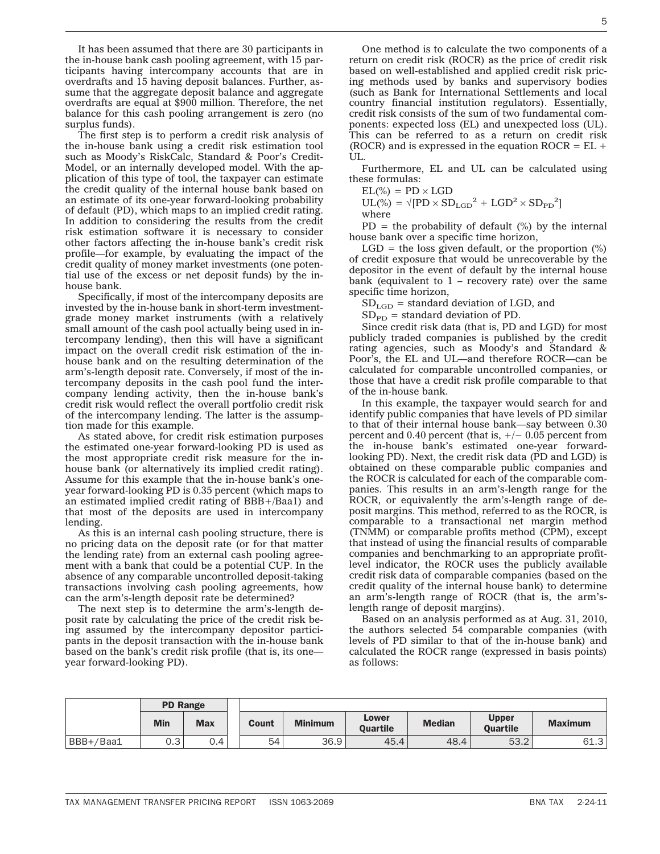It has been assumed that there are 30 participants in the in-house bank cash pooling agreement, with 15 participants having intercompany accounts that are in overdrafts and 15 having deposit balances. Further, assume that the aggregate deposit balance and aggregate overdrafts are equal at \$900 million. Therefore, the net balance for this cash pooling arrangement is zero (no surplus funds).

The first step is to perform a credit risk analysis of the in-house bank using a credit risk estimation tool such as Moody's RiskCalc, Standard & Poor's Credit-Model, or an internally developed model. With the application of this type of tool, the taxpayer can estimate the credit quality of the internal house bank based on an estimate of its one-year forward-looking probability of default (PD), which maps to an implied credit rating. In addition to considering the results from the credit risk estimation software it is necessary to consider other factors affecting the in-house bank's credit risk profile—for example, by evaluating the impact of the credit quality of money market investments (one potential use of the excess or net deposit funds) by the inhouse bank.

Specifically, if most of the intercompany deposits are invested by the in-house bank in short-term investmentgrade money market instruments (with a relatively small amount of the cash pool actually being used in intercompany lending), then this will have a significant impact on the overall credit risk estimation of the inhouse bank and on the resulting determination of the arm's-length deposit rate. Conversely, if most of the intercompany deposits in the cash pool fund the intercompany lending activity, then the in-house bank's credit risk would reflect the overall portfolio credit risk of the intercompany lending. The latter is the assumption made for this example.

As stated above, for credit risk estimation purposes the estimated one-year forward-looking PD is used as the most appropriate credit risk measure for the inhouse bank (or alternatively its implied credit rating). Assume for this example that the in-house bank's oneyear forward-looking PD is 0.35 percent (which maps to an estimated implied credit rating of BBB+/Baa1) and that most of the deposits are used in intercompany lending.

As this is an internal cash pooling structure, there is no pricing data on the deposit rate (or for that matter the lending rate) from an external cash pooling agreement with a bank that could be a potential CUP. In the absence of any comparable uncontrolled deposit-taking transactions involving cash pooling agreements, how can the arm's-length deposit rate be determined?

The next step is to determine the arm's-length deposit rate by calculating the price of the credit risk being assumed by the intercompany depositor participants in the deposit transaction with the in-house bank based on the bank's credit risk profile (that is, its one year forward-looking PD).

One method is to calculate the two components of a return on credit risk (ROCR) as the price of credit risk based on well-established and applied credit risk pricing methods used by banks and supervisory bodies (such as Bank for International Settlements and local country financial institution regulators). Essentially, credit risk consists of the sum of two fundamental components: expected loss (EL) and unexpected loss (UL). This can be referred to as a return on credit risk (ROCR) and is expressed in the equation ROCR =  $EL +$ UL.

Furthermore, EL and UL can be calculated using these formulas:

 $EL(\%) = PD \times LGD$ 

 $UL(\%) = \sqrt{[PD \times SD_{LGD}^2 + LGD^2 \times SD_{PD}^2]}$ where

 $PD =$  the probability of default  $(\%)$  by the internal house bank over a specific time horizon,

 $LGD$  = the loss given default, or the proportion  $(\%)$ of credit exposure that would be unrecoverable by the depositor in the event of default by the internal house bank (equivalent to 1 – recovery rate) over the same specific time horizon,

 $SD_{LGD}$  = standard deviation of LGD, and

 $SD<sub>PD</sub>$  = standard deviation of PD.

Since credit risk data (that is, PD and LGD) for most publicly traded companies is published by the credit rating agencies, such as Moody's and Standard & Poor's, the EL and UL—and therefore ROCR—can be calculated for comparable uncontrolled companies, or those that have a credit risk profile comparable to that of the in-house bank.

In this example, the taxpayer would search for and identify public companies that have levels of PD similar to that of their internal house bank—say between 0.30 percent and 0.40 percent (that is,  $+/- 0.05$  percent from the in-house bank's estimated one-year forwardlooking PD). Next, the credit risk data (PD and LGD) is obtained on these comparable public companies and the ROCR is calculated for each of the comparable companies. This results in an arm's-length range for the ROCR, or equivalently the arm's-length range of deposit margins. This method, referred to as the ROCR, is comparable to a transactional net margin method (TNMM) or comparable profits method (CPM), except that instead of using the financial results of comparable companies and benchmarking to an appropriate profitlevel indicator, the ROCR uses the publicly available credit risk data of comparable companies (based on the credit quality of the internal house bank) to determine an arm's-length range of ROCR (that is, the arm'slength range of deposit margins).

Based on an analysis performed as at Aug. 31, 2010, the authors selected 54 comparable companies (with levels of PD similar to that of the in-house bank) and calculated the ROCR range (expressed in basis points) as follows:

|           | <b>PD Range</b> |                  |       |                |                          |               |                                 |                |
|-----------|-----------------|------------------|-------|----------------|--------------------------|---------------|---------------------------------|----------------|
|           | <b>Min</b>      | <b>Max</b>       | Count | <b>Minimum</b> | Lower<br><b>Ouartile</b> | <b>Median</b> | <b>Upper</b><br><b>Ouartile</b> | <b>Maximum</b> |
| BBB+/Baa1 | റ -<br>∪.∪      | $\Omega_{\perp}$ | 54    | 36.9           | 45.4                     | 48.4          | 53.2                            | 61.3           |